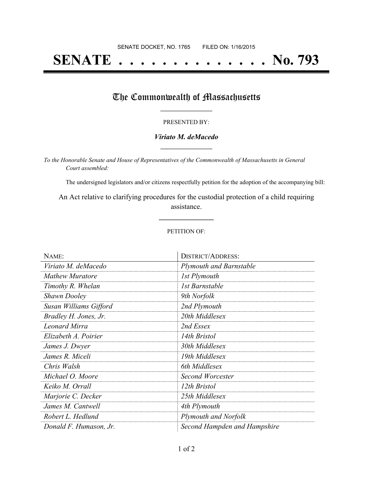# **SENATE . . . . . . . . . . . . . . No. 793**

## The Commonwealth of Massachusetts

#### PRESENTED BY:

#### *Viriato M. deMacedo* **\_\_\_\_\_\_\_\_\_\_\_\_\_\_\_\_\_**

*To the Honorable Senate and House of Representatives of the Commonwealth of Massachusetts in General Court assembled:*

The undersigned legislators and/or citizens respectfully petition for the adoption of the accompanying bill:

An Act relative to clarifying procedures for the custodial protection of a child requiring assistance.

**\_\_\_\_\_\_\_\_\_\_\_\_\_\_\_**

#### PETITION OF:

| NAME:                  | <b>DISTRICT/ADDRESS:</b>       |
|------------------------|--------------------------------|
| Viriato M. deMacedo    | <b>Plymouth and Barnstable</b> |
| <b>Mathew Muratore</b> | 1st Plymouth                   |
| Timothy R. Whelan      | 1st Barnstable                 |
| <b>Shawn Dooley</b>    | 9th Norfolk                    |
| Susan Williams Gifford | 2nd Plymouth                   |
| Bradley H. Jones, Jr.  | 20th Middlesex                 |
| <b>Leonard Mirra</b>   | 2nd Essex                      |
| Elizabeth A. Poirier   | 14th Bristol                   |
| James J. Dwyer         | 30th Middlesex                 |
| James R. Miceli        | 19th Middlesex                 |
| Chris Walsh            | 6th Middlesex                  |
| Michael O. Moore       | Second Worcester               |
| Keiko M. Orrall        | 12th Bristol                   |
| Marjorie C. Decker     | 25th Middlesex                 |
| James M. Cantwell      | 4th Plymouth                   |
| Robert L. Hedlund      | <b>Plymouth and Norfolk</b>    |
| Donald F. Humason, Jr. | Second Hampden and Hampshire   |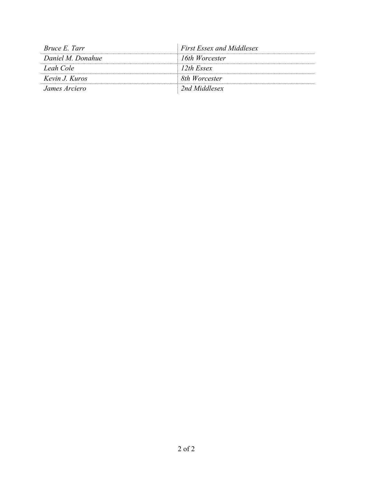| <i>Bruce E. Tarr</i> | <b>First Essex and Middlesex</b> |
|----------------------|----------------------------------|
| Daniel M. Donahue    | 16th Worcester                   |
| Leah Cole            | 12th Essex                       |
| Kevin J. Kuros       | 8th Worcester                    |
| James Arciero        | 2nd Middlesex                    |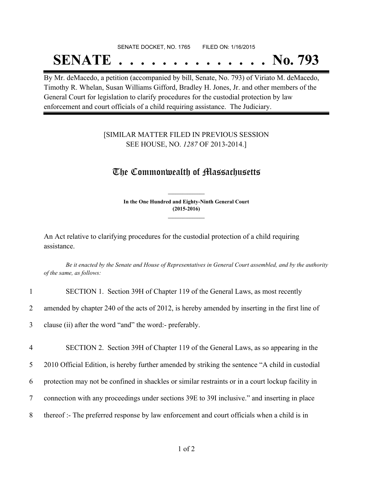# SENATE DOCKET, NO. 1765 FILED ON: 1/16/2015 **SENATE . . . . . . . . . . . . . . No. 793**

By Mr. deMacedo, a petition (accompanied by bill, Senate, No. 793) of Viriato M. deMacedo, Timothy R. Whelan, Susan Williams Gifford, Bradley H. Jones, Jr. and other members of the General Court for legislation to clarify procedures for the custodial protection by law enforcement and court officials of a child requiring assistance. The Judiciary.

### [SIMILAR MATTER FILED IN PREVIOUS SESSION SEE HOUSE, NO. *1287* OF 2013-2014.]

# The Commonwealth of Massachusetts

**In the One Hundred and Eighty-Ninth General Court (2015-2016) \_\_\_\_\_\_\_\_\_\_\_\_\_\_\_**

**\_\_\_\_\_\_\_\_\_\_\_\_\_\_\_**

An Act relative to clarifying procedures for the custodial protection of a child requiring assistance.

Be it enacted by the Senate and House of Representatives in General Court assembled, and by the authority *of the same, as follows:*

| $\mathbf{1}$    | SECTION 1. Section 39H of Chapter 119 of the General Laws, as most recently                       |
|-----------------|---------------------------------------------------------------------------------------------------|
| $\overline{2}$  | amended by chapter 240 of the acts of 2012, is hereby amended by inserting in the first line of   |
| $\mathfrak{Z}$  | clause (ii) after the word "and" the word:- preferably.                                           |
|                 |                                                                                                   |
| $\overline{4}$  | SECTION 2. Section 39H of Chapter 119 of the General Laws, as so appearing in the                 |
| 5 <sup>5</sup>  | 2010 Official Edition, is hereby further amended by striking the sentence "A child in custodial   |
| 6               | protection may not be confined in shackles or similar restraints or in a court lockup facility in |
| $7\overline{ }$ | connection with any proceedings under sections 39E to 39I inclusive." and inserting in place      |
| 8               | thereof :- The preferred response by law enforcement and court officials when a child is in       |